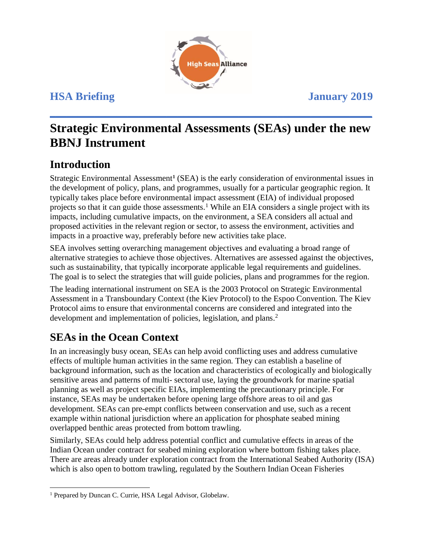

# **Strategic Environmental Assessments (SEAs) under the new BBNJ Instrument**

**\_\_\_\_\_\_\_\_\_\_\_\_\_\_\_\_\_\_\_\_\_\_\_\_\_\_\_\_\_\_\_\_\_\_\_\_\_\_\_\_\_\_\_\_\_\_\_\_\_\_\_\_\_\_\_\_\_\_** 

## **Introduction**

Strategic Environmental Assessment**<sup>1</sup>** (SEA) is the early consideration of environmental issues in the development of policy, plans, and programmes, usually for a particular geographic region. It typically takes place before environmental impact assessment (EIA) of individual proposed projects so that it can guide those assessments.<sup>1</sup> While an EIA considers a single project with its impacts, including cumulative impacts, on the environment, a SEA considers all actual and proposed activities in the relevant region or sector, to assess the environment, activities and impacts in a proactive way, preferably before new activities take place.

SEA involves setting overarching management objectives and evaluating a broad range of alternative strategies to achieve those objectives. Alternatives are assessed against the objectives, such as sustainability, that typically incorporate applicable legal requirements and guidelines. The goal is to select the strategies that will guide policies, plans and programmes for the region.

The leading international instrument on SEA is the 2003 Protocol on Strategic Environmental Assessment in a Transboundary Context (the Kiev Protocol) to the Espoo Convention. The Kiev Protocol aims to ensure that environmental concerns are considered and integrated into the development and implementation of policies, legislation, and plans.<sup>2</sup>

## **SEAs in the Ocean Context**

In an increasingly busy ocean, SEAs can help avoid conflicting uses and address cumulative effects of multiple human activities in the same region. They can establish a baseline of background information, such as the location and characteristics of ecologically and biologically sensitive areas and patterns of multi- sectoral use, laying the groundwork for marine spatial planning as well as project specific EIAs, implementing the precautionary principle. For instance, SEAs may be undertaken before opening large offshore areas to oil and gas development. SEAs can pre-empt conflicts between conservation and use, such as a recent example within national jurisdiction where an application for phosphate seabed mining overlapped benthic areas protected from bottom trawling.

Similarly, SEAs could help address potential conflict and cumulative effects in areas of the Indian Ocean under contract for seabed mining exploration where bottom fishing takes place. There are areas already under exploration contract from the International Seabed Authority (ISA) which is also open to bottom trawling, regulated by the Southern Indian Ocean Fisheries

 $\overline{a}$ <sup>1</sup> Prepared by Duncan C. Currie, HSA Legal Advisor, Globelaw.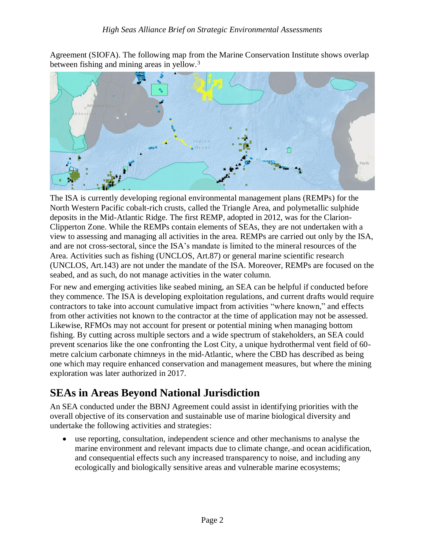Agreement (SIOFA). The following map from the Marine Conservation Institute shows overlap between fishing and mining areas in yellow.<sup>3</sup>



The ISA is currently developing regional environmental management plans (REMPs) for the North Western Pacific cobalt-rich crusts, called the Triangle Area, and polymetallic sulphide deposits in the Mid-Atlantic Ridge. The first REMP, adopted in 2012, was for the Clarion-Clipperton Zone. While the REMPs contain elements of SEAs, they are not undertaken with a view to assessing and managing all activities in the area. REMPs are carried out only by the ISA, and are not cross-sectoral, since the ISA's mandate is limited to the mineral resources of the Area. Activities such as fishing (UNCLOS, Art.87) or general marine scientific research (UNCLOS, Art.143) are not under the mandate of the ISA. Moreover, REMPs are focused on the seabed, and as such, do not manage activities in the water column.

For new and emerging activities like seabed mining, an SEA can be helpful if conducted before they commence. The ISA is developing exploitation regulations, and current drafts would require contractors to take into account cumulative impact from activities "where known," and effects from other activities not known to the contractor at the time of application may not be assessed. Likewise, RFMOs may not account for present or potential mining when managing bottom fishing. By cutting across multiple sectors and a wide spectrum of stakeholders, an SEA could prevent scenarios like the one confronting the Lost City, a unique hydrothermal vent field of 60 metre calcium carbonate chimneys in the mid-Atlantic, where the CBD has described as being one which may require enhanced conservation and management measures, but where the mining exploration was later authorized in 2017.

## **SEAs in Areas Beyond National Jurisdiction**

An SEA conducted under the BBNJ Agreement could assist in identifying priorities with the overall objective of its conservation and sustainable use of marine biological diversity and undertake the following activities and strategies:

• use reporting, consultation, independent science and other mechanisms to analyse the marine environment and relevant impacts due to climate change, and ocean acidification, and consequential effects such any increased transparency to noise, and including any ecologically and biologically sensitive areas and vulnerable marine ecosystems;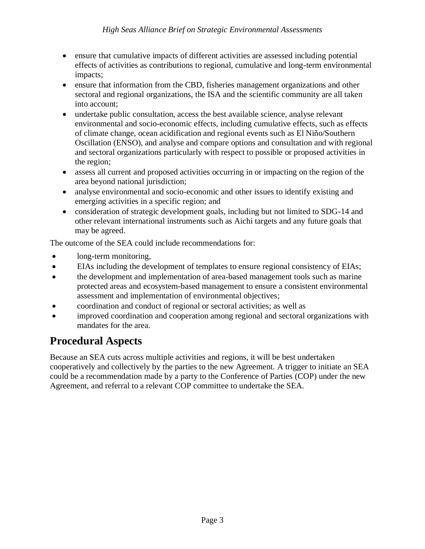- ensure that cumulative impacts of different activities are assessed including potential effects of activities as contributions to regional, cumulative and long-term environmental impacts;
- ensure that information from the CBD, fisheries management organizations and other sectoral and regional organizations, the ISA and the scientific community are all taken into account;
- undertake public consultation, access the best available science, analyse relevant environmental and socio-economic effects, including cumulative effects, such as effects of climate change, ocean acidification and regional events such as El Niño/Southern Oscillation (ENSO), and analyse and compare options and consultation and with regional and sectoral organizations particularly with respect to possible or proposed activities in the region;
- assess all current and proposed activities occurring in or impacting on the region of the area beyond national jurisdiction;
- analyse environmental and socio-economic and other issues to identify existing and emerging activities in a specific region; and
- consideration of strategic development goals, including but not limited to SDG-14 and other relevant international instruments such as Aichi targets and any future goals that may be agreed.

The outcome of the SEA could include recommendations for:

- long-term monitoring,
- EIAs including the development of templates to ensure regional consistency of EIAs;
- the development and implementation of area-based management tools such as marine protected areas and ecosystem-based management to ensure a consistent environmental assessment and implementation of environmental objectives;
- coordination and conduct of regional or sectoral activities; as well as
- improved coordination and cooperation among regional and sectoral organizations with mandates for the area.

## **Procedural Aspects**

Because an SEA cuts across multiple activities and regions, it will be best undertaken cooperatively and collectively by the parties to the new Agreement. A trigger to initiate an SEA could be a recommendation made by a party to the Conference of Parties (COP) under the new Agreement, and referral to a relevant COP committee to undertake the SEA.